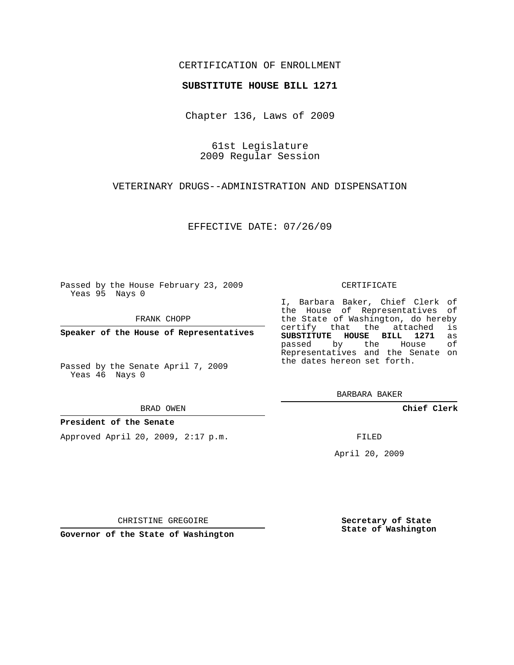### CERTIFICATION OF ENROLLMENT

#### **SUBSTITUTE HOUSE BILL 1271**

Chapter 136, Laws of 2009

61st Legislature 2009 Regular Session

VETERINARY DRUGS--ADMINISTRATION AND DISPENSATION

EFFECTIVE DATE: 07/26/09

Passed by the House February 23, 2009 Yeas 95 Nays 0

FRANK CHOPP

**Speaker of the House of Representatives**

Passed by the Senate April 7, 2009 Yeas 46 Nays 0

BRAD OWEN

#### **President of the Senate**

Approved April 20, 2009, 2:17 p.m.

CERTIFICATE

I, Barbara Baker, Chief Clerk of the House of Representatives of the State of Washington, do hereby<br>certify that the attached is certify that the attached **SUBSTITUTE HOUSE BILL 1271** as passed by the House Representatives and the Senate on the dates hereon set forth.

BARBARA BAKER

**Chief Clerk**

FILED

April 20, 2009

**Secretary of State State of Washington**

CHRISTINE GREGOIRE

**Governor of the State of Washington**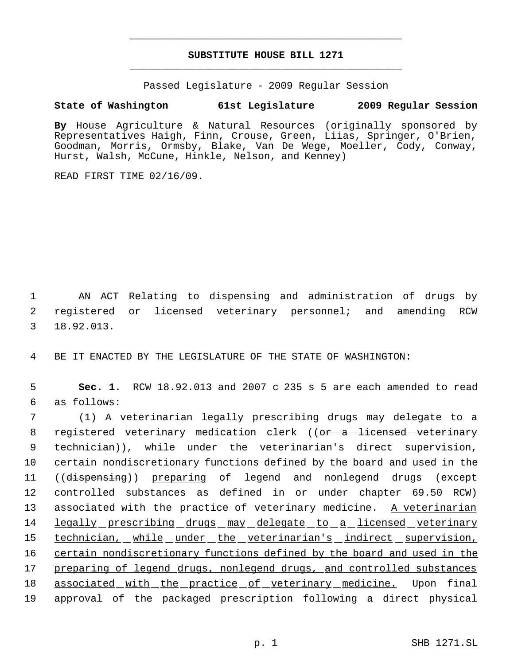# **SUBSTITUTE HOUSE BILL 1271** \_\_\_\_\_\_\_\_\_\_\_\_\_\_\_\_\_\_\_\_\_\_\_\_\_\_\_\_\_\_\_\_\_\_\_\_\_\_\_\_\_\_\_\_\_

\_\_\_\_\_\_\_\_\_\_\_\_\_\_\_\_\_\_\_\_\_\_\_\_\_\_\_\_\_\_\_\_\_\_\_\_\_\_\_\_\_\_\_\_\_

Passed Legislature - 2009 Regular Session

## **State of Washington 61st Legislature 2009 Regular Session**

**By** House Agriculture & Natural Resources (originally sponsored by Representatives Haigh, Finn, Crouse, Green, Liias, Springer, O'Brien, Goodman, Morris, Ormsby, Blake, Van De Wege, Moeller, Cody, Conway, Hurst, Walsh, McCune, Hinkle, Nelson, and Kenney)

READ FIRST TIME 02/16/09.

 1 AN ACT Relating to dispensing and administration of drugs by 2 registered or licensed veterinary personnel; and amending RCW 3 18.92.013.

4 BE IT ENACTED BY THE LEGISLATURE OF THE STATE OF WASHINGTON:

 5 **Sec. 1.** RCW 18.92.013 and 2007 c 235 s 5 are each amended to read 6 as follows:

 7 (1) A veterinarian legally prescribing drugs may delegate to a 8 registered veterinary medication clerk ((<del>or a licensed veterinary</del> 9 technician)), while under the veterinarian's direct supervision, 10 certain nondiscretionary functions defined by the board and used in the 11 ((dispensing)) preparing of legend and nonlegend drugs (except 12 controlled substances as defined in or under chapter 69.50 RCW) 13 associated with the practice of veterinary medicine. A veterinarian 14 legally prescribing drugs may delegate to a licensed veterinary 15 technician, while under the veterinarian's indirect supervision, 16 certain nondiscretionary functions defined by the board and used in the 17 preparing of legend drugs, nonlegend drugs, and controlled substances 18 associated with the practice of veterinary medicine. Upon final 19 approval of the packaged prescription following a direct physical